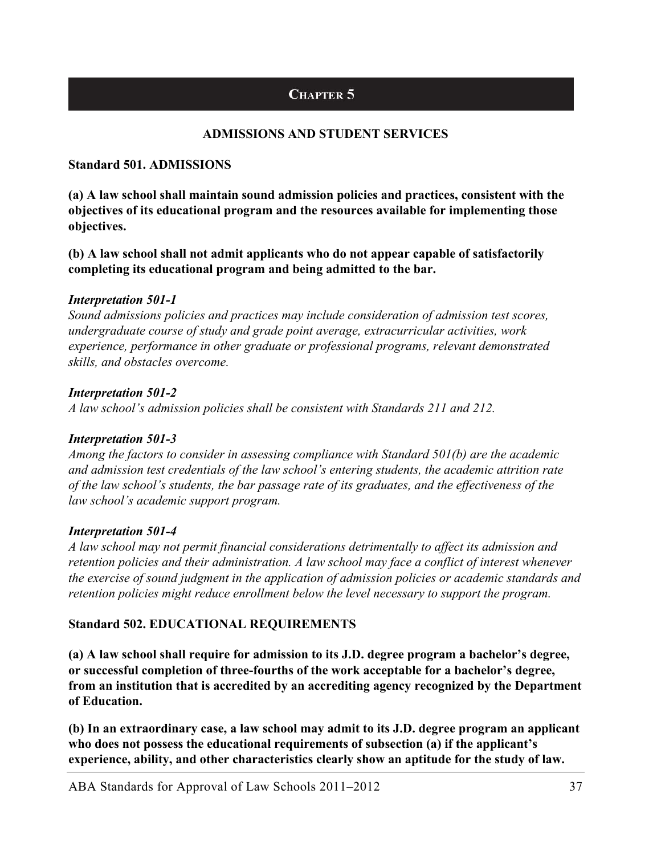# CHAPTER 5

# **ADMISSIONS AND STUDENT SERVICES**

#### **Standard 501. ADMISSIONS**

**(a) A law school shall maintain sound admission policies and practices, consistent with the objectives of its educational program and the resources available for implementing those objectives.** 

**(b) A law school shall not admit applicants who do not appear capable of satisfactorily completing its educational program and being admitted to the bar.** 

## *Interpretation 501-1*

*Sound admissions policies and practices may include consideration of admission test scores, undergraduate course of study and grade point average, extracurricular activities, work experience, performance in other graduate or professional programs, relevant demonstrated skills, and obstacles overcome.* 

#### *Interpretation 501-2*

*A law school's admission policies shall be consistent with Standards 211 and 212.* 

## *Interpretation 501-3*

*Among the factors to consider in assessing compliance with Standard 501(b) are the academic and admission test credentials of the law school's entering students, the academic attrition rate of the law school's students, the bar passage rate of its graduates, and the effectiveness of the law school's academic support program.* 

## *Interpretation 501-4*

*A law school may not permit financial considerations detrimentally to affect its admission and retention policies and their administration. A law school may face a conflict of interest whenever the exercise of sound judgment in the application of admission policies or academic standards and retention policies might reduce enrollment below the level necessary to support the program.* 

## **Standard 502. EDUCATIONAL REQUIREMENTS**

**(a) A law school shall require for admission to its J.D. degree program a bachelor's degree, or successful completion of three-fourths of the work acceptable for a bachelor's degree, from an institution that is accredited by an accrediting agency recognized by the Department of Education.** 

**(b) In an extraordinary case, a law school may admit to its J.D. degree program an applicant who does not possess the educational requirements of subsection (a) if the applicant's experience, ability, and other characteristics clearly show an aptitude for the study of law.** 

ABA Standards for Approval of Law Schools 2011–2012 37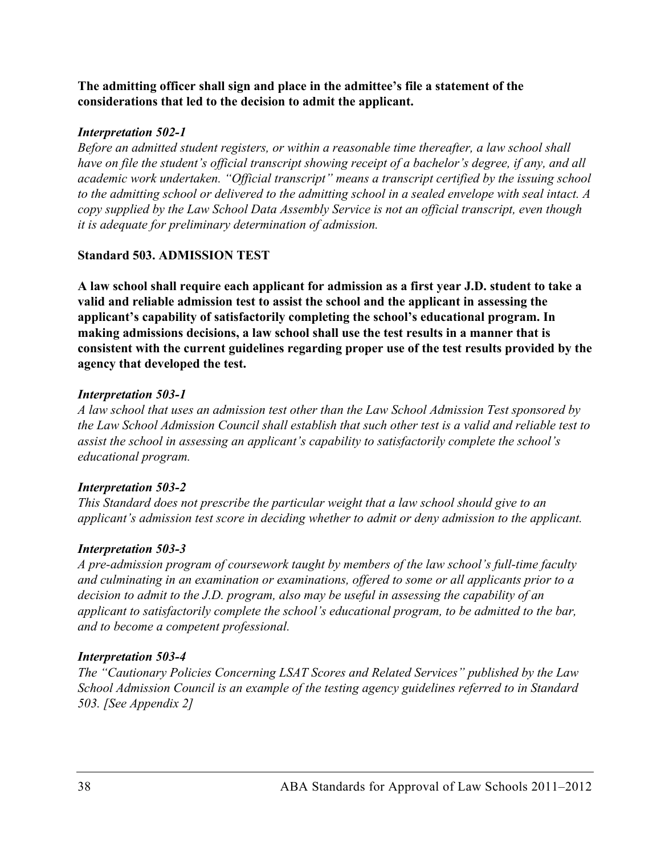**The admitting officer shall sign and place in the admittee's file a statement of the considerations that led to the decision to admit the applicant.** 

#### *Interpretation 502-1*

*Before an admitted student registers, or within a reasonable time thereafter, a law school shall have on file the student's official transcript showing receipt of a bachelor's degree, if any, and all academic work undertaken. "Official transcript" means a transcript certified by the issuing school to the admitting school or delivered to the admitting school in a sealed envelope with seal intact. A copy supplied by the Law School Data Assembly Service is not an official transcript, even though it is adequate for preliminary determination of admission.* 

## **Standard 503. ADMISSION TEST**

**A law school shall require each applicant for admission as a first year J.D. student to take a valid and reliable admission test to assist the school and the applicant in assessing the applicant's capability of satisfactorily completing the school's educational program. In making admissions decisions, a law school shall use the test results in a manner that is consistent with the current guidelines regarding proper use of the test results provided by the agency that developed the test.** 

#### *Interpretation 503-1*

*A law school that uses an admission test other than the Law School Admission Test sponsored by the Law School Admission Council shall establish that such other test is a valid and reliable test to assist the school in assessing an applicant's capability to satisfactorily complete the school's educational program.* 

## *Interpretation 503-2*

*This Standard does not prescribe the particular weight that a law school should give to an applicant's admission test score in deciding whether to admit or deny admission to the applicant.* 

#### *Interpretation 503-3*

*A pre-admission program of coursework taught by members of the law school's full-time faculty and culminating in an examination or examinations, offered to some or all applicants prior to a decision to admit to the J.D. program, also may be useful in assessing the capability of an applicant to satisfactorily complete the school's educational program, to be admitted to the bar, and to become a competent professional.* 

## *Interpretation 503-4*

*The "Cautionary Policies Concerning LSAT Scores and Related Services" published by the Law School Admission Council is an example of the testing agency guidelines referred to in Standard 503. [See Appendix 2]*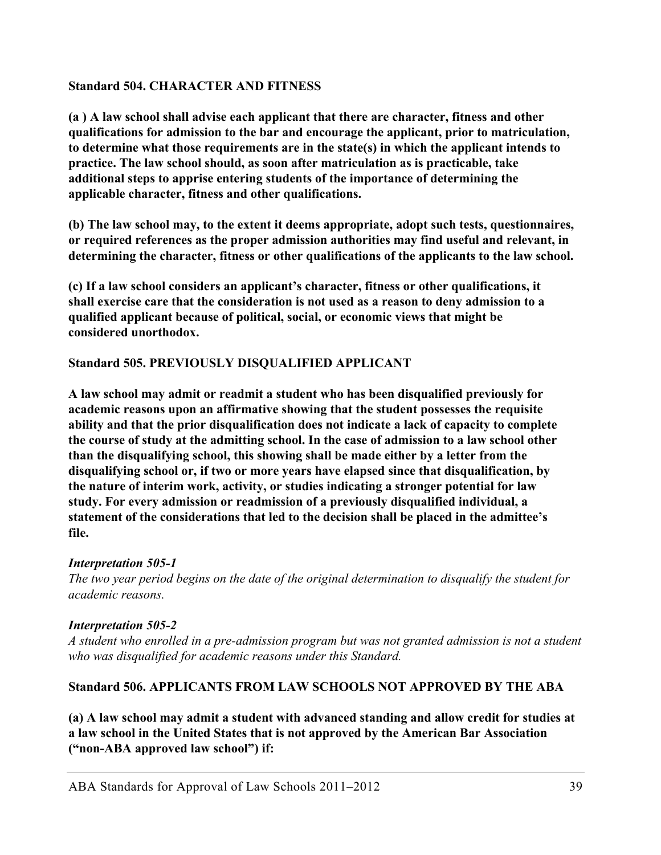#### **Standard 504. CHARACTER AND FITNESS**

**(a ) A law school shall advise each applicant that there are character, fitness and other qualifications for admission to the bar and encourage the applicant, prior to matriculation, to determine what those requirements are in the state(s) in which the applicant intends to practice. The law school should, as soon after matriculation as is practicable, take additional steps to apprise entering students of the importance of determining the applicable character, fitness and other qualifications.** 

**(b) The law school may, to the extent it deems appropriate, adopt such tests, questionnaires, or required references as the proper admission authorities may find useful and relevant, in determining the character, fitness or other qualifications of the applicants to the law school.** 

**(c) If a law school considers an applicant's character, fitness or other qualifications, it shall exercise care that the consideration is not used as a reason to deny admission to a qualified applicant because of political, social, or economic views that might be considered unorthodox.** 

#### **Standard 505. PREVIOUSLY DISQUALIFIED APPLICANT**

**A law school may admit or readmit a student who has been disqualified previously for academic reasons upon an affirmative showing that the student possesses the requisite ability and that the prior disqualification does not indicate a lack of capacity to complete the course of study at the admitting school. In the case of admission to a law school other than the disqualifying school, this showing shall be made either by a letter from the disqualifying school or, if two or more years have elapsed since that disqualification, by the nature of interim work, activity, or studies indicating a stronger potential for law study. For every admission or readmission of a previously disqualified individual, a statement of the considerations that led to the decision shall be placed in the admittee's file.** 

## *Interpretation 505-1*

*The two year period begins on the date of the original determination to disqualify the student for academic reasons.* 

## *Interpretation 505-2*

*A student who enrolled in a pre-admission program but was not granted admission is not a student who was disqualified for academic reasons under this Standard.* 

## **Standard 506. APPLICANTS FROM LAW SCHOOLS NOT APPROVED BY THE ABA**

**(a) A law school may admit a student with advanced standing and allow credit for studies at a law school in the United States that is not approved by the American Bar Association ("non-ABA approved law school") if:**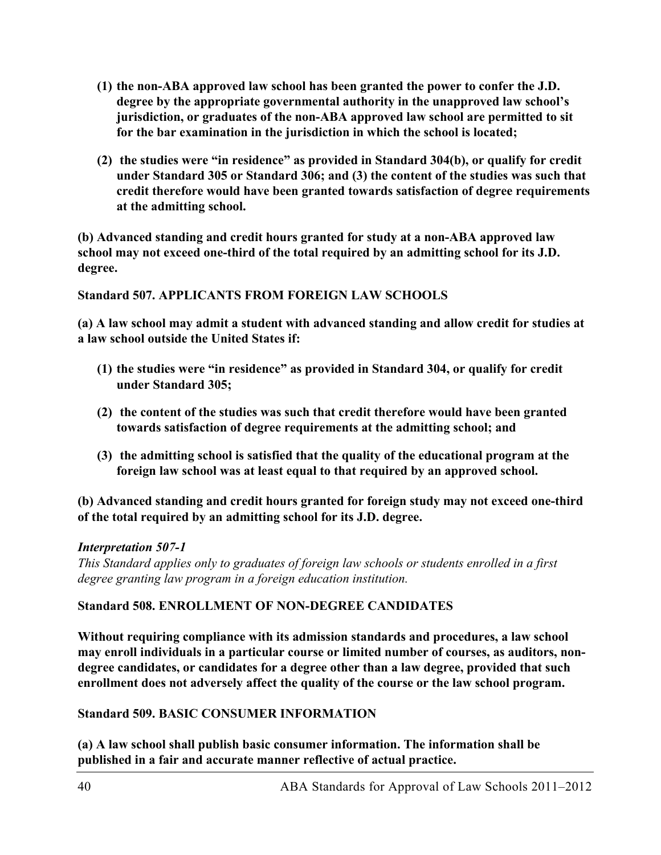- **(1) the non-ABA approved law school has been granted the power to confer the J.D. degree by the appropriate governmental authority in the unapproved law school's jurisdiction, or graduates of the non-ABA approved law school are permitted to sit for the bar examination in the jurisdiction in which the school is located;**
- **(2) the studies were "in residence" as provided in Standard 304(b), or qualify for credit under Standard 305 or Standard 306; and (3) the content of the studies was such that credit therefore would have been granted towards satisfaction of degree requirements at the admitting school.**

**(b) Advanced standing and credit hours granted for study at a non-ABA approved law school may not exceed one-third of the total required by an admitting school for its J.D. degree.** 

**Standard 507. APPLICANTS FROM FOREIGN LAW SCHOOLS** 

**(a) A law school may admit a student with advanced standing and allow credit for studies at a law school outside the United States if:** 

- **(1) the studies were "in residence" as provided in Standard 304, or qualify for credit under Standard 305;**
- **(2) the content of the studies was such that credit therefore would have been granted towards satisfaction of degree requirements at the admitting school; and**
- **(3) the admitting school is satisfied that the quality of the educational program at the foreign law school was at least equal to that required by an approved school.**

**(b) Advanced standing and credit hours granted for foreign study may not exceed one-third of the total required by an admitting school for its J.D. degree.** 

## *Interpretation 507-1*

*This Standard applies only to graduates of foreign law schools or students enrolled in a first degree granting law program in a foreign education institution.* 

## **Standard 508. ENROLLMENT OF NON-DEGREE CANDIDATES**

**Without requiring compliance with its admission standards and procedures, a law school may enroll individuals in a particular course or limited number of courses, as auditors, nondegree candidates, or candidates for a degree other than a law degree, provided that such enrollment does not adversely affect the quality of the course or the law school program.** 

## **Standard 509. BASIC CONSUMER INFORMATION**

**(a) A law school shall publish basic consumer information. The information shall be published in a fair and accurate manner reflective of actual practice.**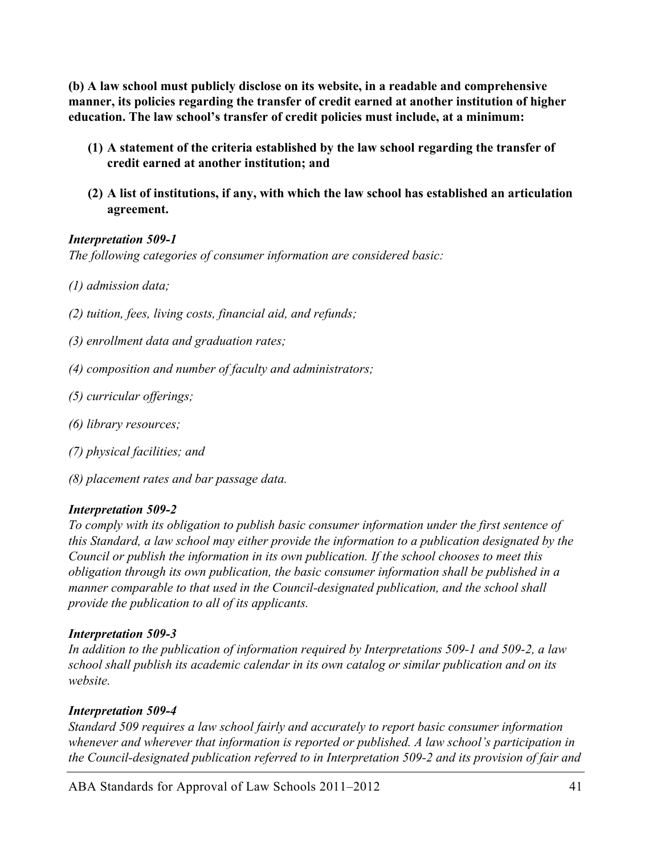**(b) A law school must publicly disclose on its website, in a readable and comprehensive manner, its policies regarding the transfer of credit earned at another institution of higher education. The law school's transfer of credit policies must include, at a minimum:** 

- **(1) A statement of the criteria established by the law school regarding the transfer of credit earned at another institution; and**
- **(2) A list of institutions, if any, with which the law school has established an articulation agreement.**

#### *Interpretation 509-1*

*The following categories of consumer information are considered basic:* 

- *(1) admission data;*
- *(2) tuition, fees, living costs, financial aid, and refunds;*
- *(3) enrollment data and graduation rates;*
- *(4) composition and number of faculty and administrators;*
- *(5) curricular offerings;*
- *(6) library resources;*
- *(7) physical facilities; and*
- *(8) placement rates and bar passage data.*

#### *Interpretation 509-2*

*To comply with its obligation to publish basic consumer information under the first sentence of this Standard, a law school may either provide the information to a publication designated by the Council or publish the information in its own publication. If the school chooses to meet this obligation through its own publication, the basic consumer information shall be published in a manner comparable to that used in the Council-designated publication, and the school shall provide the publication to all of its applicants.* 

#### *Interpretation 509-3*

*In addition to the publication of information required by Interpretations 509-1 and 509-2, a law school shall publish its academic calendar in its own catalog or similar publication and on its website.* 

## *Interpretation 509-4*

*Standard 509 requires a law school fairly and accurately to report basic consumer information whenever and wherever that information is reported or published. A law school's participation in the Council-designated publication referred to in Interpretation 509-2 and its provision of fair and* 

ABA Standards for Approval of Law Schools 2011–2012 41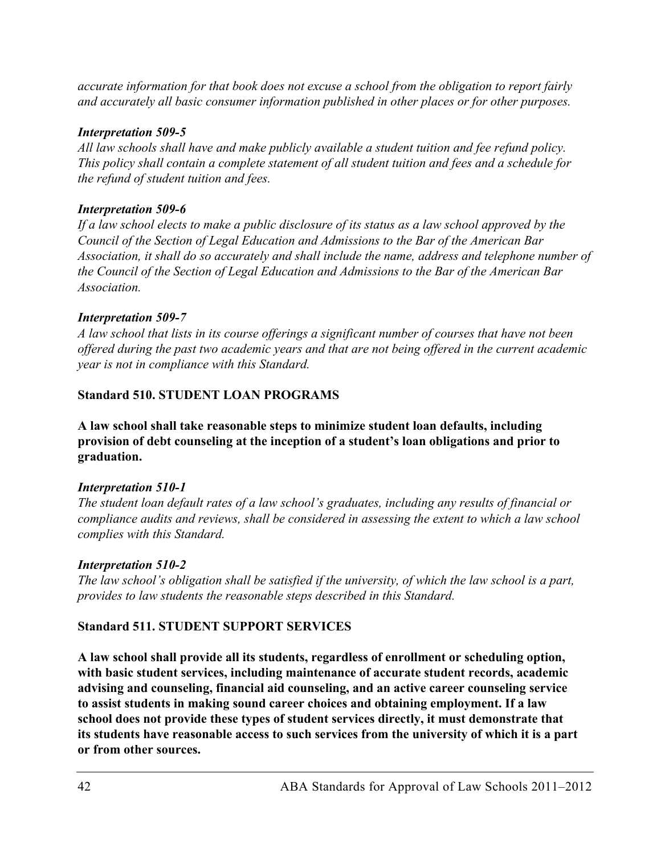*accurate information for that book does not excuse a school from the obligation to report fairly and accurately all basic consumer information published in other places or for other purposes.* 

#### *Interpretation 509-5*

*All law schools shall have and make publicly available a student tuition and fee refund policy. This policy shall contain a complete statement of all student tuition and fees and a schedule for the refund of student tuition and fees.* 

#### *Interpretation 509-6*

*If a law school elects to make a public disclosure of its status as a law school approved by the Council of the Section of Legal Education and Admissions to the Bar of the American Bar Association, it shall do so accurately and shall include the name, address and telephone number of the Council of the Section of Legal Education and Admissions to the Bar of the American Bar Association.* 

#### *Interpretation 509-7*

*A law school that lists in its course offerings a significant number of courses that have not been offered during the past two academic years and that are not being offered in the current academic year is not in compliance with this Standard.* 

#### **Standard 510. STUDENT LOAN PROGRAMS**

**A law school shall take reasonable steps to minimize student loan defaults, including provision of debt counseling at the inception of a student's loan obligations and prior to graduation.** 

#### *Interpretation 510-1*

*The student loan default rates of a law school's graduates, including any results of financial or compliance audits and reviews, shall be considered in assessing the extent to which a law school complies with this Standard.* 

## *Interpretation 510-2*

*The law school's obligation shall be satisfied if the university, of which the law school is a part, provides to law students the reasonable steps described in this Standard.* 

## **Standard 511. STUDENT SUPPORT SERVICES**

**A law school shall provide all its students, regardless of enrollment or scheduling option, with basic student services, including maintenance of accurate student records, academic advising and counseling, financial aid counseling, and an active career counseling service to assist students in making sound career choices and obtaining employment. If a law school does not provide these types of student services directly, it must demonstrate that its students have reasonable access to such services from the university of which it is a part or from other sources.**